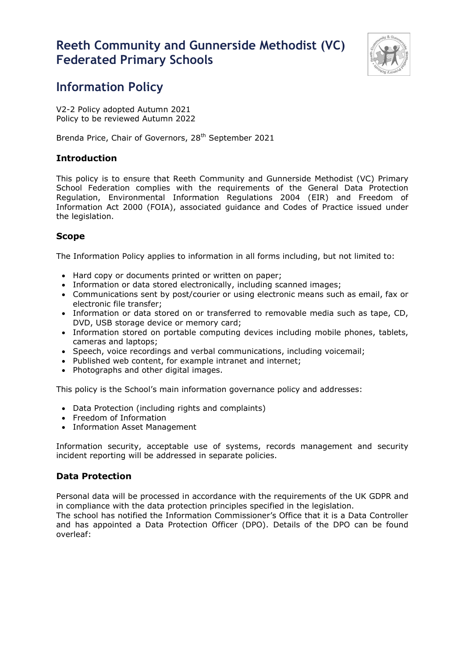# **Reeth Community and Gunnerside Methodist (VC) Federated Primary Schools**



# **Information Policy**

V2-2 Policy adopted Autumn 2021 Policy to be reviewed Autumn 2022

Brenda Price, Chair of Governors, 28<sup>th</sup> September 2021

## **Introduction**

This policy is to ensure that Reeth Community and Gunnerside Methodist (VC) Primary School Federation complies with the requirements of the General Data Protection Regulation, Environmental Information Regulations 2004 (EIR) and Freedom of Information Act 2000 (FOIA), associated guidance and Codes of Practice issued under the legislation.

## **Scope**

The Information Policy applies to information in all forms including, but not limited to:

- Hard copy or documents printed or written on paper;
- Information or data stored electronically, including scanned images;
- Communications sent by post/courier or using electronic means such as email, fax or electronic file transfer;
- Information or data stored on or transferred to removable media such as tape, CD, DVD, USB storage device or memory card;
- Information stored on portable computing devices including mobile phones, tablets, cameras and laptops;
- Speech, voice recordings and verbal communications, including voicemail;
- Published web content, for example intranet and internet;
- Photographs and other digital images.

This policy is the School's main information governance policy and addresses:

- Data Protection (including rights and complaints)
- Freedom of Information
- Information Asset Management

Information security, acceptable use of systems, records management and security incident reporting will be addressed in separate policies.

## **Data Protection**

Personal data will be processed in accordance with the requirements of the UK GDPR and in compliance with the data protection principles specified in the legislation.

The school has notified the Information Commissioner's Office that it is a Data Controller and has appointed a Data Protection Officer (DPO). Details of the DPO can be found overleaf: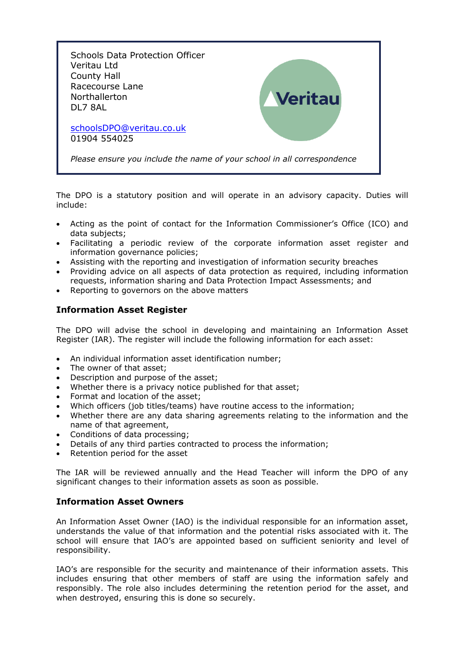

The DPO is a statutory position and will operate in an advisory capacity. Duties will include:

- Acting as the point of contact for the Information Commissioner's Office (ICO) and data subjects;
- Facilitating a periodic review of the corporate information asset register and information governance policies;
- Assisting with the reporting and investigation of information security breaches
- Providing advice on all aspects of data protection as required, including information requests, information sharing and Data Protection Impact Assessments; and
- Reporting to governors on the above matters

### **Information Asset Register**

The DPO will advise the school in developing and maintaining an Information Asset Register (IAR). The register will include the following information for each asset:

- An individual information asset identification number;
- The owner of that asset;
- Description and purpose of the asset;
- Whether there is a privacy notice published for that asset;
- Format and location of the asset;
- Which officers (job titles/teams) have routine access to the information;
- Whether there are any data sharing agreements relating to the information and the name of that agreement,
- Conditions of data processing;
- Details of any third parties contracted to process the information;
- Retention period for the asset

The IAR will be reviewed annually and the Head Teacher will inform the DPO of any significant changes to their information assets as soon as possible.

#### **Information Asset Owners**

An Information Asset Owner (IAO) is the individual responsible for an information asset, understands the value of that information and the potential risks associated with it. The school will ensure that IAO's are appointed based on sufficient seniority and level of responsibility.

IAO's are responsible for the security and maintenance of their information assets. This includes ensuring that other members of staff are using the information safely and responsibly. The role also includes determining the retention period for the asset, and when destroyed, ensuring this is done so securely.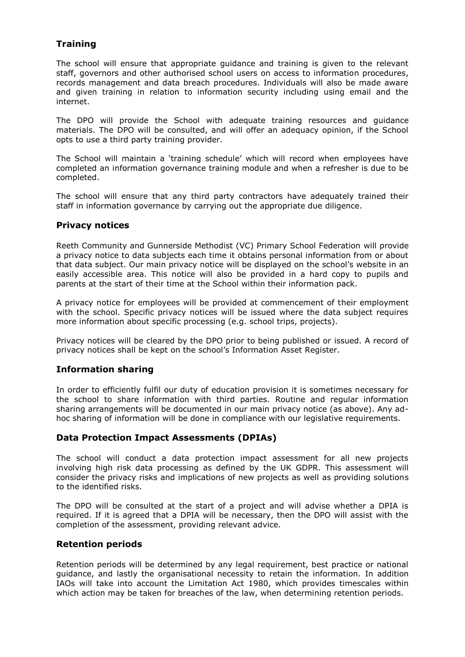## **Training**

The school will ensure that appropriate guidance and training is given to the relevant staff, governors and other authorised school users on access to information procedures, records management and data breach procedures. Individuals will also be made aware and given training in relation to information security including using email and the internet.

The DPO will provide the School with adequate training resources and guidance materials. The DPO will be consulted, and will offer an adequacy opinion, if the School opts to use a third party training provider.

The School will maintain a 'training schedule' which will record when employees have completed an information governance training module and when a refresher is due to be completed.

The school will ensure that any third party contractors have adequately trained their staff in information governance by carrying out the appropriate due diligence.

#### **Privacy notices**

Reeth Community and Gunnerside Methodist (VC) Primary School Federation will provide a privacy notice to data subjects each time it obtains personal information from or about that data subject. Our main privacy notice will be displayed on the school's website in an easily accessible area. This notice will also be provided in a hard copy to pupils and parents at the start of their time at the School within their information pack.

A privacy notice for employees will be provided at commencement of their employment with the school. Specific privacy notices will be issued where the data subject requires more information about specific processing (e.g. school trips, projects).

Privacy notices will be cleared by the DPO prior to being published or issued. A record of privacy notices shall be kept on the school's Information Asset Register.

#### **Information sharing**

In order to efficiently fulfil our duty of education provision it is sometimes necessary for the school to share information with third parties. Routine and regular information sharing arrangements will be documented in our main privacy notice (as above). Any adhoc sharing of information will be done in compliance with our legislative requirements.

## **Data Protection Impact Assessments (DPIAs)**

The school will conduct a data protection impact assessment for all new projects involving high risk data processing as defined by the UK GDPR. This assessment will consider the privacy risks and implications of new projects as well as providing solutions to the identified risks.

The DPO will be consulted at the start of a project and will advise whether a DPIA is required. If it is agreed that a DPIA will be necessary, then the DPO will assist with the completion of the assessment, providing relevant advice.

#### **Retention periods**

Retention periods will be determined by any legal requirement, best practice or national guidance, and lastly the organisational necessity to retain the information. In addition IAOs will take into account the Limitation Act 1980, which provides timescales within which action may be taken for breaches of the law, when determining retention periods.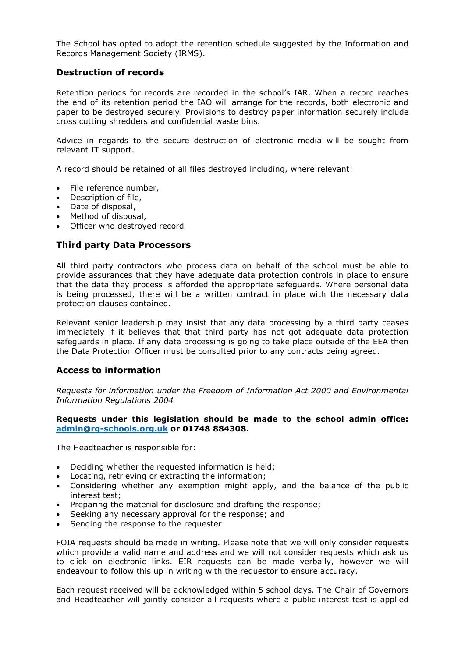The School has opted to adopt the retention schedule suggested by the Information and Records Management Society (IRMS).

#### **Destruction of records**

Retention periods for records are recorded in the school's IAR. When a record reaches the end of its retention period the IAO will arrange for the records, both electronic and paper to be destroyed securely. Provisions to destroy paper information securely include cross cutting shredders and confidential waste bins.

Advice in regards to the secure destruction of electronic media will be sought from relevant IT support.

A record should be retained of all files destroyed including, where relevant:

- File reference number,
- Description of file,
- Date of disposal,
- Method of disposal,
- Officer who destroyed record

#### **Third party Data Processors**

All third party contractors who process data on behalf of the school must be able to provide assurances that they have adequate data protection controls in place to ensure that the data they process is afforded the appropriate safeguards. Where personal data is being processed, there will be a written contract in place with the necessary data protection clauses contained.

Relevant senior leadership may insist that any data processing by a third party ceases immediately if it believes that that third party has not got adequate data protection safeguards in place. If any data processing is going to take place outside of the EEA then the Data Protection Officer must be consulted prior to any contracts being agreed.

#### **Access to information**

*Requests for information under the Freedom of Information Act 2000 and Environmental Information Regulations 2004*

#### **Requests under this legislation should be made to the school admin office: [admin@rg-schools.org.uk](mailto:admin@rg-schools.org.uk) or 01748 884308.**

The Headteacher is responsible for:

- Deciding whether the requested information is held;
- Locating, retrieving or extracting the information;
- Considering whether any exemption might apply, and the balance of the public interest test;
- Preparing the material for disclosure and drafting the response;
- Seeking any necessary approval for the response; and
- Sending the response to the requester

FOIA requests should be made in writing. Please note that we will only consider requests which provide a valid name and address and we will not consider requests which ask us to click on electronic links. EIR requests can be made verbally, however we will endeavour to follow this up in writing with the requestor to ensure accuracy.

Each request received will be acknowledged within 5 school days. The Chair of Governors and Headteacher will jointly consider all requests where a public interest test is applied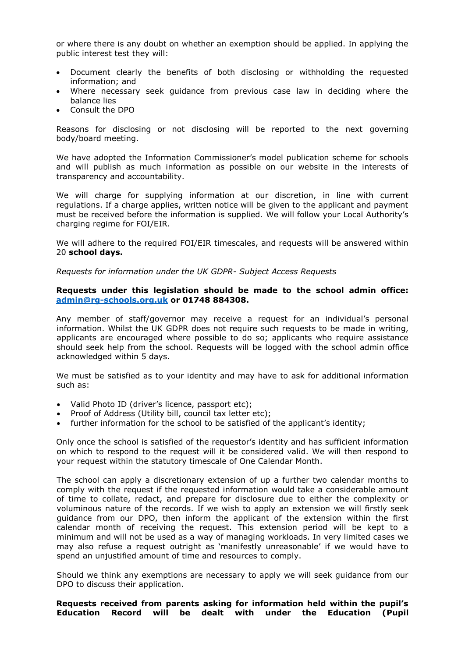or where there is any doubt on whether an exemption should be applied. In applying the public interest test they will:

- Document clearly the benefits of both disclosing or withholding the requested information; and
- Where necessary seek guidance from previous case law in deciding where the balance lies
- Consult the DPO

Reasons for disclosing or not disclosing will be reported to the next governing body/board meeting.

We have adopted the Information Commissioner's model publication scheme for schools and will publish as much information as possible on our website in the interests of transparency and accountability.

We will charge for supplying information at our discretion, in line with current regulations. If a charge applies, written notice will be given to the applicant and payment must be received before the information is supplied. We will follow your Local Authority's charging regime for FOI/EIR.

We will adhere to the required FOI/EIR timescales, and requests will be answered within 20 **school days.**

*Requests for information under the UK GDPR- Subject Access Requests*

#### **Requests under this legislation should be made to the school admin office: [admin@rg-schools.org.uk](mailto:admin@rg-schools.org.uk) or 01748 884308.**

Any member of staff/governor may receive a request for an individual's personal information. Whilst the UK GDPR does not require such requests to be made in writing, applicants are encouraged where possible to do so; applicants who require assistance should seek help from the school. Requests will be logged with the school admin office acknowledged within 5 days.

We must be satisfied as to your identity and may have to ask for additional information such as:

- Valid Photo ID (driver's licence, passport etc);
- Proof of Address (Utility bill, council tax letter etc);
- further information for the school to be satisfied of the applicant's identity;

Only once the school is satisfied of the requestor's identity and has sufficient information on which to respond to the request will it be considered valid. We will then respond to your request within the statutory timescale of One Calendar Month.

The school can apply a discretionary extension of up a further two calendar months to comply with the request if the requested information would take a considerable amount of time to collate, redact, and prepare for disclosure due to either the complexity or voluminous nature of the records. If we wish to apply an extension we will firstly seek guidance from our DPO, then inform the applicant of the extension within the first calendar month of receiving the request. This extension period will be kept to a minimum and will not be used as a way of managing workloads. In very limited cases we may also refuse a request outright as 'manifestly unreasonable' if we would have to spend an unjustified amount of time and resources to comply.

Should we think any exemptions are necessary to apply we will seek guidance from our DPO to discuss their application.

**Requests received from parents asking for information held within the pupil's Education Record will be dealt with under the Education (Pupil**